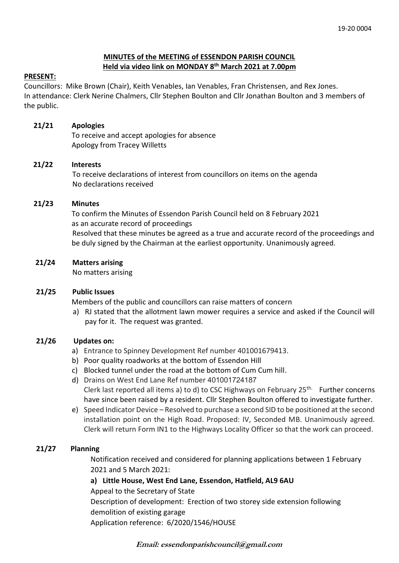# **MINUTES of the MEETING of ESSENDON PARISH COUNCIL Held via video link on MONDAY 8 th March 2021 at 7.00pm**

## **PRESENT:**

Councillors: Mike Brown (Chair), Keith Venables, Ian Venables, Fran Christensen, and Rex Jones. In attendance: Clerk Nerine Chalmers, Cllr Stephen Boulton and Cllr Jonathan Boulton and 3 members of the public.

## **21/21 Apologies**

To receive and accept apologies for absence Apology from Tracey Willetts

## **21/22 Interests**

To receive declarations of interest from councillors on items on the agenda No declarations received

#### **21/23 Minutes**

 To confirm the Minutes of Essendon Parish Council held on 8 February 2021 as an accurate record of proceedings Resolved that these minutes be agreed as a true and accurate record of the proceedings and be duly signed by the Chairman at the earliest opportunity. Unanimously agreed.

#### **21/24 Matters arising**

No matters arising

#### **21/25 Public Issues**

Members of the public and councillors can raise matters of concern

a) RJ stated that the allotment lawn mower requires a service and asked if the Council will pay for it. The request was granted.

#### **21/26 Updates on:**

- a) Entrance to Spinney Development Ref number 401001679413.
- b) Poor quality roadworks at the bottom of Essendon Hill
- c) Blocked tunnel under the road at the bottom of Cum Cum hill.
- d) Drains on West End Lane Ref number 401001724187 Clerk last reported all items a) to d) to CSC Highways on February  $25<sup>th</sup>$  Further concerns have since been raised by a resident. Cllr Stephen Boulton offered to investigate further.
- e) Speed Indicator Device Resolved to purchase a second SID to be positioned at the second installation point on the High Road. Proposed: IV, Seconded MB. Unanimously agreed. Clerk will return Form IN1 to the Highways Locality Officer so that the work can proceed.

# **21/27 Planning**

Notification received and considered for planning applications between 1 February 2021 and 5 March 2021:

# **a) Little House, West End Lane, Essendon, Hatfield, AL9 6AU**

Appeal to the Secretary of State

Description of development: Erection of two storey side extension following demolition of existing garage

Application reference: 6/2020/1546/HOUSE

**Email: essendonparishcouncil@gmail.com**